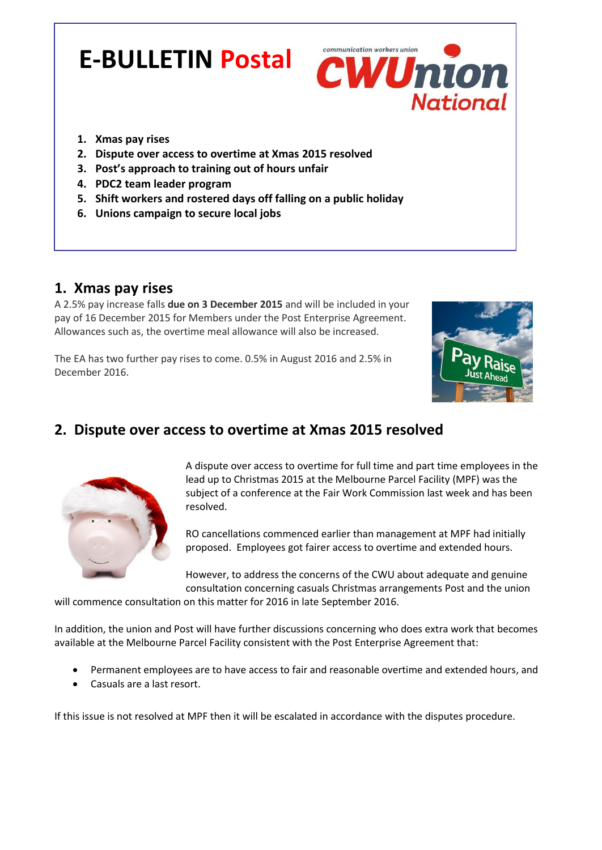# **E-BULLETIN Postal**



- **1. Xmas pay rises**
- **2. Dispute over access to overtime at Xmas 2015 resolved**
- **3. Post's approach to training out of hours unfair**
- **4. PDC2 team leader program**
- **5. Shift workers and rostered days off falling on a public holiday**
- **6. Unions campaign to secure local jobs**

#### **1. Xmas pay rises**

A 2.5% pay increase falls **due on 3 December 2015** and will be included in your pay of 16 December 2015 for Members under the Post Enterprise Agreement. Allowances such as, the overtime meal allowance will also be increased.

The EA has two further pay rises to come. 0.5% in August 2016 and 2.5% in December 2016.



# **2. Dispute over access to overtime at Xmas 2015 resolved**



A dispute over access to overtime for full time and part time employees in the lead up to Christmas 2015 at the Melbourne Parcel Facility (MPF) was the subject of a conference at the Fair Work Commission last week and has been resolved.

RO cancellations commenced earlier than management at MPF had initially proposed. Employees got fairer access to overtime and extended hours.

However, to address the concerns of the CWU about adequate and genuine consultation concerning casuals Christmas arrangements Post and the union

will commence consultation on this matter for 2016 in late September 2016.

In addition, the union and Post will have further discussions concerning who does extra work that becomes available at the Melbourne Parcel Facility consistent with the Post Enterprise Agreement that:

- Permanent employees are to have access to fair and reasonable overtime and extended hours, and
- Casuals are a last resort.

If this issue is not resolved at MPF then it will be escalated in accordance with the disputes procedure.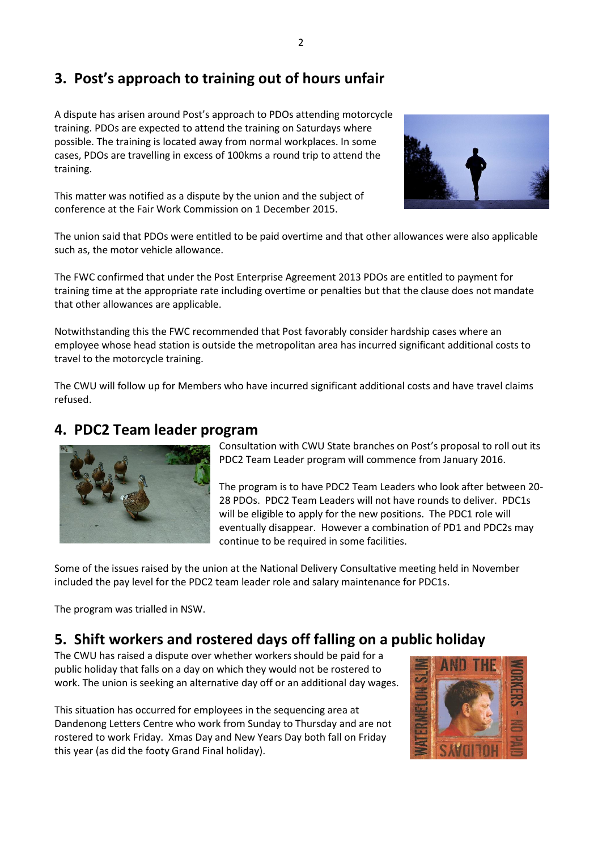# **3. Post's approach to training out of hours unfair**

A dispute has arisen around Post's approach to PDOs attending motorcycle training. PDOs are expected to attend the training on Saturdays where possible. The training is located away from normal workplaces. In some cases, PDOs are travelling in excess of 100kms a round trip to attend the training.

This matter was notified as a dispute by the union and the subject of conference at the Fair Work Commission on 1 December 2015.



The union said that PDOs were entitled to be paid overtime and that other allowances were also applicable such as, the motor vehicle allowance.

The FWC confirmed that under the Post Enterprise Agreement 2013 PDOs are entitled to payment for training time at the appropriate rate including overtime or penalties but that the clause does not mandate that other allowances are applicable.

Notwithstanding this the FWC recommended that Post favorably consider hardship cases where an employee whose head station is outside the metropolitan area has incurred significant additional costs to travel to the motorcycle training.

The CWU will follow up for Members who have incurred significant additional costs and have travel claims refused.

#### **4. PDC2 Team leader program**



Consultation with CWU State branches on Post's proposal to roll out its PDC2 Team Leader program will commence from January 2016.

The program is to have PDC2 Team Leaders who look after between 20- 28 PDOs. PDC2 Team Leaders will not have rounds to deliver. PDC1s will be eligible to apply for the new positions. The PDC1 role will eventually disappear. However a combination of PD1 and PDC2s may continue to be required in some facilities.

Some of the issues raised by the union at the National Delivery Consultative meeting held in November included the pay level for the PDC2 team leader role and salary maintenance for PDC1s.

The program was trialled in NSW.

## **5. Shift workers and rostered days off falling on a public holiday**

The CWU has raised a dispute over whether workers should be paid for a public holiday that falls on a day on which they would not be rostered to work. The union is seeking an alternative day off or an additional day wages.

This situation has occurred for employees in the sequencing area at Dandenong Letters Centre who work from Sunday to Thursday and are not rostered to work Friday. Xmas Day and New Years Day both fall on Friday this year (as did the footy Grand Final holiday).